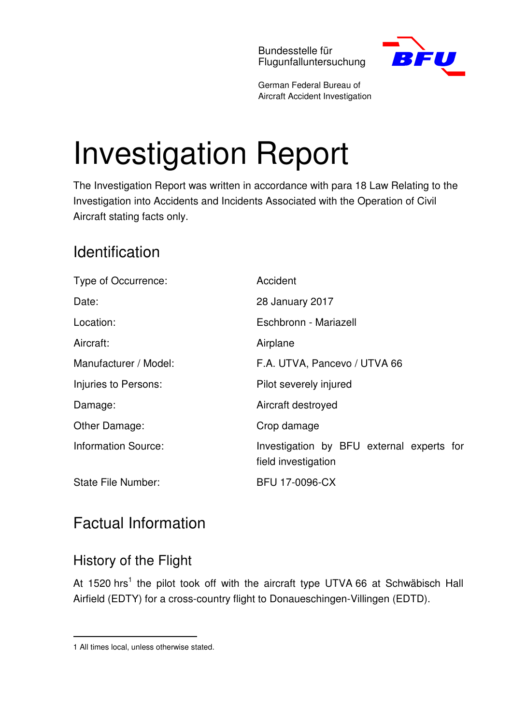Bundesstelle für Flugunfalluntersuchung



German Federal Bureau of Aircraft Accident Investigation

# Investigation Report

The Investigation Report was written in accordance with para 18 Law Relating to the Investigation into Accidents and Incidents Associated with the Operation of Civil Aircraft stating facts only.

# Identification

| Type of Occurrence:        | Accident                                                         |
|----------------------------|------------------------------------------------------------------|
| Date:                      | 28 January 2017                                                  |
| Location:                  | Eschbronn - Mariazell                                            |
| Aircraft:                  | Airplane                                                         |
| Manufacturer / Model:      | F.A. UTVA, Pancevo / UTVA 66                                     |
| Injuries to Persons:       | Pilot severely injured                                           |
| Damage:                    | Aircraft destroyed                                               |
| Other Damage:              | Crop damage                                                      |
| <b>Information Source:</b> | Investigation by BFU external experts for<br>field investigation |
| <b>State File Number:</b>  | <b>BFU 17-0096-CX</b>                                            |

# Factual Information

## History of the Flight

At 1520 hrs<sup>1</sup> the pilot took off with the aircraft type UTVA 66 at Schwäbisch Hall Airfield (EDTY) for a cross-country flight to Donaueschingen-Villingen (EDTD).

 $\overline{a}$ 

<sup>1</sup> All times local, unless otherwise stated.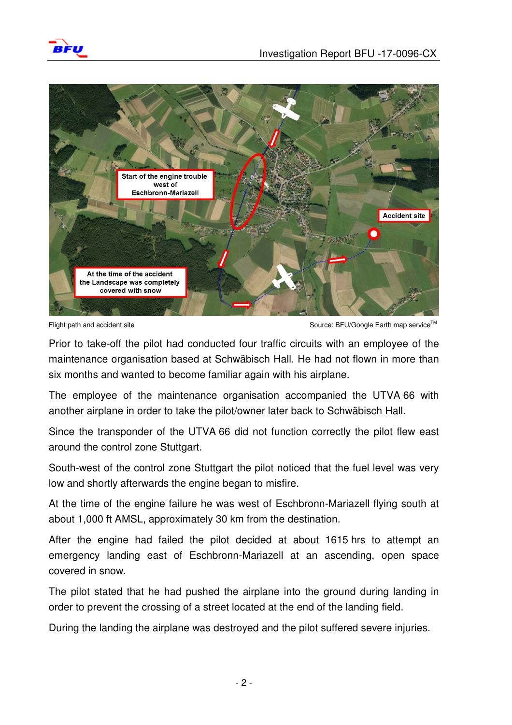



Flight path and accident site Source: BFU/Google Earth map service™

Prior to take-off the pilot had conducted four traffic circuits with an employee of the maintenance organisation based at Schwäbisch Hall. He had not flown in more than six months and wanted to become familiar again with his airplane.

The employee of the maintenance organisation accompanied the UTVA 66 with another airplane in order to take the pilot/owner later back to Schwäbisch Hall.

Since the transponder of the UTVA 66 did not function correctly the pilot flew east around the control zone Stuttgart.

South-west of the control zone Stuttgart the pilot noticed that the fuel level was very low and shortly afterwards the engine began to misfire.

At the time of the engine failure he was west of Eschbronn-Mariazell flying south at about 1,000 ft AMSL, approximately 30 km from the destination.

After the engine had failed the pilot decided at about 1615 hrs to attempt an emergency landing east of Eschbronn-Mariazell at an ascending, open space covered in snow.

The pilot stated that he had pushed the airplane into the ground during landing in order to prevent the crossing of a street located at the end of the landing field.

During the landing the airplane was destroyed and the pilot suffered severe injuries.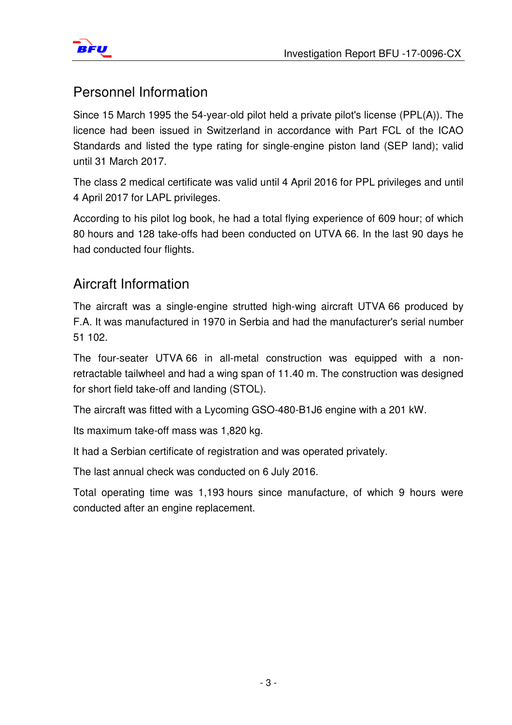



### Personnel Information

Since 15 March 1995 the 54-year-old pilot held a private pilot's license (PPL(A)). The licence had been issued in Switzerland in accordance with Part FCL of the ICAO Standards and listed the type rating for single-engine piston land (SEP land); valid until 31 March 2017.

The class 2 medical certificate was valid until 4 April 2016 for PPL privileges and until 4 April 2017 for LAPL privileges.

According to his pilot log book, he had a total flying experience of 609 hour; of which 80 hours and 128 take-offs had been conducted on UTVA 66. In the last 90 days he had conducted four flights.

## Aircraft Information

The aircraft was a single-engine strutted high-wing aircraft UTVA 66 produced by F.A. It was manufactured in 1970 in Serbia and had the manufacturer's serial number 51 102.

The four-seater UTVA 66 in all-metal construction was equipped with a nonretractable tailwheel and had a wing span of 11.40 m. The construction was designed for short field take-off and landing (STOL).

The aircraft was fitted with a Lycoming GSO-480-B1J6 engine with a 201 kW.

Its maximum take-off mass was 1,820 kg.

It had a Serbian certificate of registration and was operated privately.

The last annual check was conducted on 6 July 2016.

Total operating time was 1,193 hours since manufacture, of which 9 hours were conducted after an engine replacement.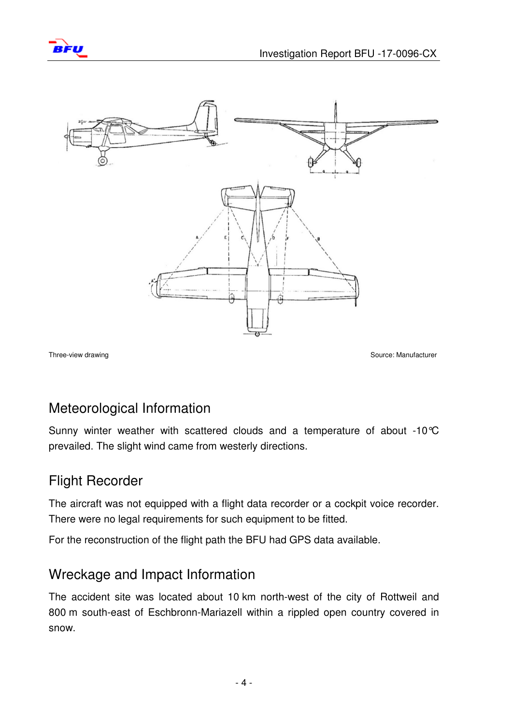



Three-view drawing Source: Manufacturer Controller Source: Manufacturer Source: Manufacturer

#### Meteorological Information

Sunny winter weather with scattered clouds and a temperature of about -10°C prevailed. The slight wind came from westerly directions.

#### Flight Recorder

The aircraft was not equipped with a flight data recorder or a cockpit voice recorder. There were no legal requirements for such equipment to be fitted.

For the reconstruction of the flight path the BFU had GPS data available.

#### Wreckage and Impact Information

The accident site was located about 10 km north-west of the city of Rottweil and 800 m south-east of Eschbronn-Mariazell within a rippled open country covered in snow.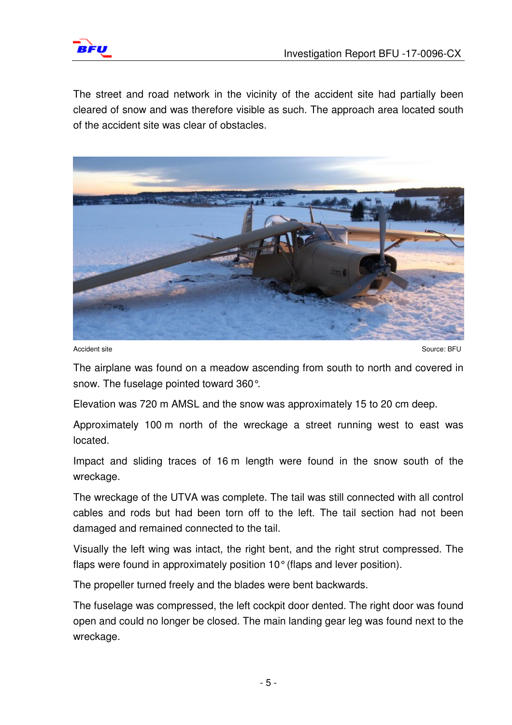

The street and road network in the vicinity of the accident site had partially been cleared of snow and was therefore visible as such. The approach area located south of the accident site was clear of obstacles.



Accident site Source: BFU

The airplane was found on a meadow ascending from south to north and covered in snow. The fuselage pointed toward 360°.

Elevation was 720 m AMSL and the snow was approximately 15 to 20 cm deep.

Approximately 100 m north of the wreckage a street running west to east was located.

Impact and sliding traces of 16 m length were found in the snow south of the wreckage.

The wreckage of the UTVA was complete. The tail was still connected with all control cables and rods but had been torn off to the left. The tail section had not been damaged and remained connected to the tail.

Visually the left wing was intact, the right bent, and the right strut compressed. The flaps were found in approximately position 10° (flaps and lever position).

The propeller turned freely and the blades were bent backwards.

The fuselage was compressed, the left cockpit door dented. The right door was found open and could no longer be closed. The main landing gear leg was found next to the wreckage.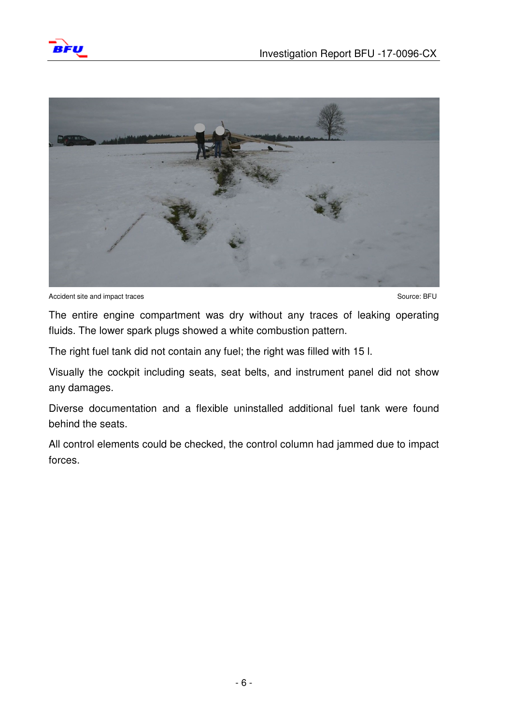



Accident site and impact traces Source: BFU

The entire engine compartment was dry without any traces of leaking operating fluids. The lower spark plugs showed a white combustion pattern.

The right fuel tank did not contain any fuel; the right was filled with 15 l.

Visually the cockpit including seats, seat belts, and instrument panel did not show any damages.

Diverse documentation and a flexible uninstalled additional fuel tank were found behind the seats.

All control elements could be checked, the control column had jammed due to impact forces.